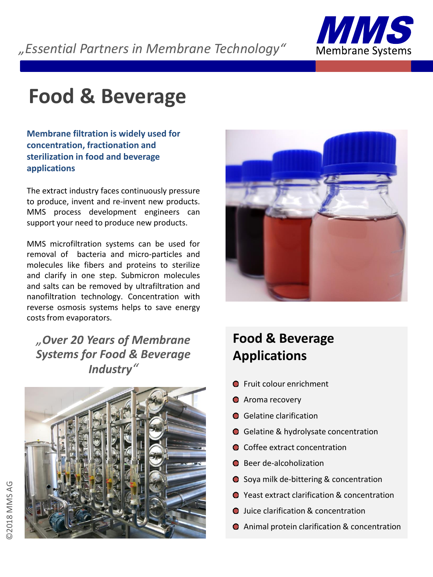

# **Food & Beverage**

**Membrane filtration is widely used for concentration, fractionation and sterilization in food and beverage applications**

The extract industry faces continuously pressure to produce, invent and re-invent new products. MMS process development engineers can support your need to produce new products.

MMS microfiltration systems can be used for removal of bacteria and micro-particles and molecules like fibers and proteins to sterilize and clarify in one step. Submicron molecules and salts can be removed by ultrafiltration and nanofiltration technology. Concentration with reverse osmosis systems helps to save energy costs from evaporators.

*"Over 20 Years of Membrane Systems for Food & Beverage Industry"*





## **Food & Beverage Applications**

- **O** Fruit colour enrichment
- **O** Aroma recovery
- **Gelatine clarification**
- Gelatine & hydrolysate concentration
- Coffee extract concentration
- **O** Beer de-alcoholization
- Soya milk de-bittering & concentration
- Yeast extract clarification & concentration
- **O** Juice clarification & concentration
- Animal protein clarification & concentration